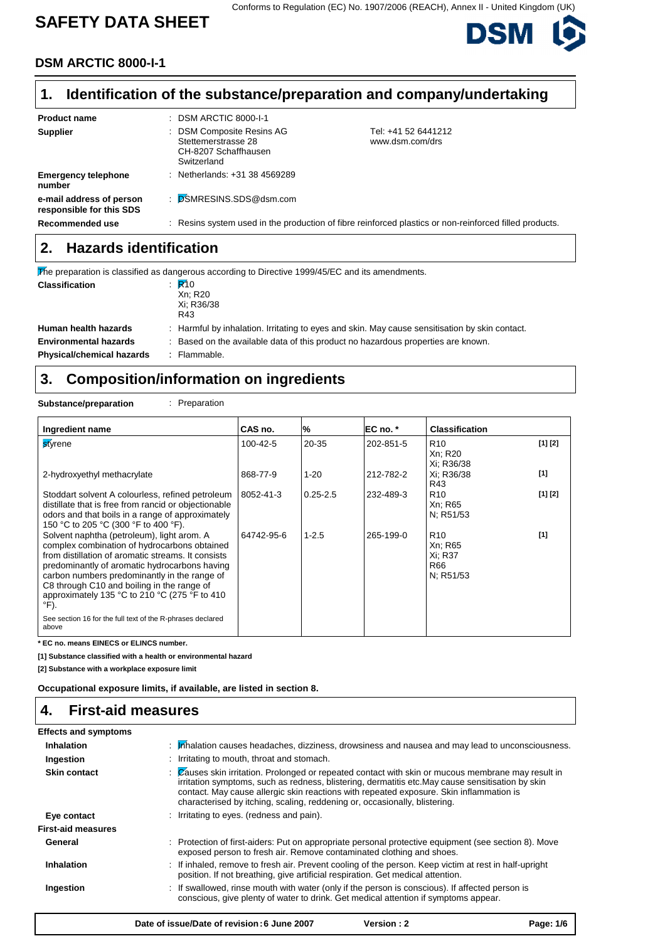# **SAFETY DATA SHEET**

Conforms to Regulation (EC) No. 1907/2006 (REACH), Annex II - United Kingdom (UK)



### **DSM ARCTIC 8000-I-1**

#### **Identification of the substance/preparation and company/undertaking 1.**

| <b>Product name</b>                                  | $\therefore$ DSM ARCTIC 8000-I-1                                                        |                                                                                                        |
|------------------------------------------------------|-----------------------------------------------------------------------------------------|--------------------------------------------------------------------------------------------------------|
| <b>Supplier</b>                                      | : DSM Composite Resins AG<br>Stettemerstrasse 28<br>CH-8207 Schaffhausen<br>Switzerland | Tel: +41 52 6441212<br>www.dsm.com/drs                                                                 |
| <b>Emergency telephone</b><br>number                 | : Netherlands: $+31$ 38 4569289                                                         |                                                                                                        |
| e-mail address of person<br>responsible for this SDS | : DSMRESINS.SDS@dsm.com                                                                 |                                                                                                        |
| Recommended use                                      |                                                                                         | : Resins system used in the production of fibre reinforced plastics or non-reinforced filled products. |

## **2. Hazards identification**

|                                  | The preparation is classified as dangerous according to Directive 1999/45/EC and its amendments. |
|----------------------------------|--------------------------------------------------------------------------------------------------|
| <b>Classification</b>            | $\mathbb{R}^{40}$<br>Xn: R20<br>Xi: R36/38<br>R43                                                |
| Human health hazards             | : Harmful by inhalation. Irritating to eyes and skin. May cause sensitisation by skin contact.   |
| <b>Environmental hazards</b>     | : Based on the available data of this product no hazardous properties are known.                 |
| <b>Physical/chemical hazards</b> | : Flammable.                                                                                     |

# **3. Composition/information on ingredients**

**Substance/preparation** : Preparation

| Ingredient name                                                                                                                                                                                                                                                                                                                                                   | CAS no.        | %            | EC no. *  | <b>Classification</b>                                     |         |
|-------------------------------------------------------------------------------------------------------------------------------------------------------------------------------------------------------------------------------------------------------------------------------------------------------------------------------------------------------------------|----------------|--------------|-----------|-----------------------------------------------------------|---------|
| styrene                                                                                                                                                                                                                                                                                                                                                           | $100 - 42 - 5$ | 20-35        | 202-851-5 | R <sub>10</sub><br>Xn; R20<br>Xi; R36/38                  | [1] [2] |
| 2-hydroxyethyl methacrylate                                                                                                                                                                                                                                                                                                                                       | 868-77-9       | $1 - 20$     | 212-782-2 | Xi: R36/38<br>R43                                         | [1]     |
| Stoddart solvent A colourless, refined petroleum<br>distillate that is free from rancid or objectionable<br>odors and that boils in a range of approximately<br>150 °C to 205 °C (300 °F to 400 °F).                                                                                                                                                              | 8052-41-3      | $0.25 - 2.5$ | 232-489-3 | R <sub>10</sub><br>Xn; R65<br>N; R51/53                   | [1] [2] |
| Solvent naphtha (petroleum), light arom. A<br>complex combination of hydrocarbons obtained<br>from distillation of aromatic streams. It consists<br>predominantly of aromatic hydrocarbons having<br>carbon numbers predominantly in the range of<br>C8 through C10 and boiling in the range of<br>approximately 135 °C to 210 °C (275 °F to 410<br>$\degree$ F). | 64742-95-6     | $1 - 2.5$    | 265-199-0 | R <sub>10</sub><br>Xn; R65<br>Xi: R37<br>R66<br>N: R51/53 | [1]     |
| See section 16 for the full text of the R-phrases declared<br>above                                                                                                                                                                                                                                                                                               |                |              |           |                                                           |         |

**\* EC no. means EINECS or ELINCS number.**

**[1] Substance classified with a health or environmental hazard**

**[2] Substance with a workplace exposure limit**

**Occupational exposure limits, if available, are listed in section 8.**

#### **4. First-aid measures**

| <b>Effects and symptoms</b> |                                                                                                                                                                                                                                                                                                                                                                                  |
|-----------------------------|----------------------------------------------------------------------------------------------------------------------------------------------------------------------------------------------------------------------------------------------------------------------------------------------------------------------------------------------------------------------------------|
| <b>Inhalation</b>           | $\therefore$ Malation causes headaches, dizziness, drowsiness and nausea and may lead to unconsciousness.                                                                                                                                                                                                                                                                        |
| Ingestion                   | : Irritating to mouth, throat and stomach.                                                                                                                                                                                                                                                                                                                                       |
| <b>Skin contact</b>         | : Zauses skin irritation. Prolonged or repeated contact with skin or mucous membrane may result in<br>irritation symptoms, such as redness, blistering, dermatitis etc. May cause sensitisation by skin<br>contact. May cause allergic skin reactions with repeated exposure. Skin inflammation is<br>characterised by itching, scaling, reddening or, occasionally, blistering. |
| Eye contact                 | : Irritating to eyes. (redness and pain).                                                                                                                                                                                                                                                                                                                                        |
| <b>First-aid measures</b>   |                                                                                                                                                                                                                                                                                                                                                                                  |
| General                     | : Protection of first-aiders: Put on appropriate personal protective equipment (see section 8). Move<br>exposed person to fresh air. Remove contaminated clothing and shoes.                                                                                                                                                                                                     |
| <b>Inhalation</b>           | : If inhaled, remove to fresh air. Prevent cooling of the person. Keep victim at rest in half-upright<br>position. If not breathing, give artificial respiration. Get medical attention.                                                                                                                                                                                         |
| Ingestion                   | : If swallowed, rinse mouth with water (only if the person is conscious). If affected person is<br>conscious, give plenty of water to drink. Get medical attention if symptoms appear.                                                                                                                                                                                           |
|                             | Version: 2<br>Date of issue/Date of revision: 6 June 2007<br>Page: 1/6                                                                                                                                                                                                                                                                                                           |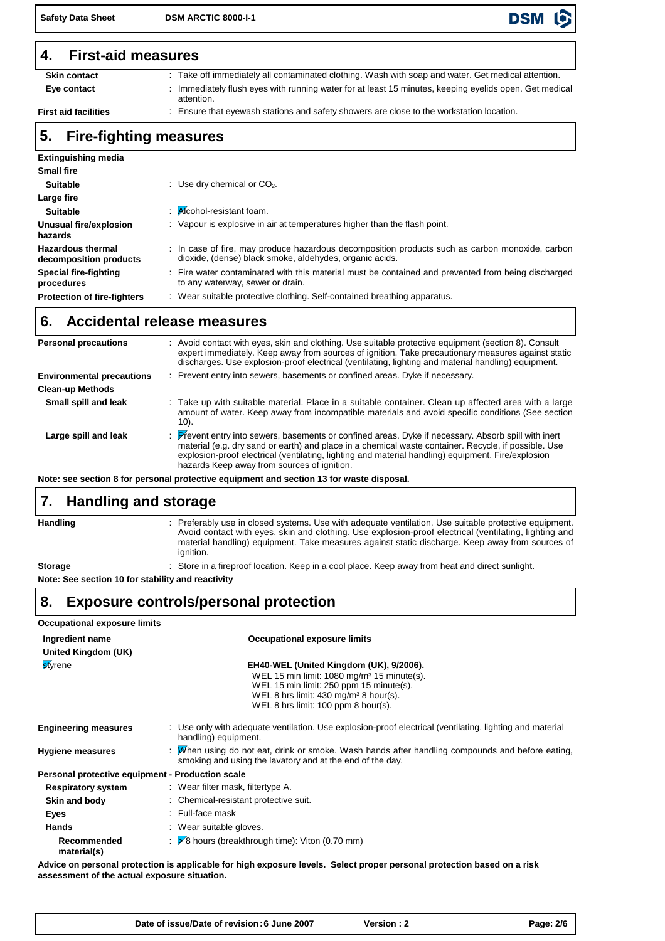**Safety Data Sheet DSM ARCTIC 8000-I-1**

### **4. First-aid measures**

**Eye contact Skin contact** 

**First aid facilities** 

: Immediately flush eyes with running water for at least 15 minutes, keeping eyelids open. Get medical attention. Take off immediately all contaminated clothing. Wash with soap and water. Get medical attention. Ensure that eyewash stations and safety showers are close to the workstation location.

**DSM** 

### **5. Fire-fighting measures**

| <b>Extinguishing media</b>                         |                                                                                                                                                            |
|----------------------------------------------------|------------------------------------------------------------------------------------------------------------------------------------------------------------|
| <b>Small fire</b>                                  |                                                                                                                                                            |
| <b>Suitable</b>                                    | : Use dry chemical or $CO2$ .                                                                                                                              |
| Large fire                                         |                                                                                                                                                            |
| <b>Suitable</b>                                    | $\therefore$ Alcohol-resistant foam.                                                                                                                       |
| Unusual fire/explosion<br>hazards                  | : Vapour is explosive in air at temperatures higher than the flash point.                                                                                  |
| <b>Hazardous thermal</b><br>decomposition products | : In case of fire, may produce hazardous decomposition products such as carbon monoxide, carbon<br>dioxide, (dense) black smoke, aldehydes, organic acids. |
| <b>Special fire-fighting</b><br>procedures         | : Fire water contaminated with this material must be contained and prevented from being discharged<br>to any waterway, sewer or drain.                     |
| <b>Protection of fire-fighters</b>                 | : Wear suitable protective clothing. Self-contained breathing apparatus.                                                                                   |

### **6. Accidental release measures**

| <b>Personal precautions</b>      | : Avoid contact with eyes, skin and clothing. Use suitable protective equipment (section 8). Consult<br>expert immediately. Keep away from sources of ignition. Take precautionary measures against static<br>discharges. Use explosion-proof electrical (ventilating, lighting and material handling) equipment.                                               |
|----------------------------------|-----------------------------------------------------------------------------------------------------------------------------------------------------------------------------------------------------------------------------------------------------------------------------------------------------------------------------------------------------------------|
| <b>Environmental precautions</b> | : Prevent entry into sewers, basements or confined areas. Dyke if necessary.                                                                                                                                                                                                                                                                                    |
| <b>Clean-up Methods</b>          |                                                                                                                                                                                                                                                                                                                                                                 |
| Small spill and leak             | Take up with suitable material. Place in a suitable container. Clean up affected area with a large<br>amount of water. Keep away from incompatible materials and avoid specific conditions (See section<br>10).                                                                                                                                                 |
| Large spill and leak             | Prevent entry into sewers, basements or confined areas. Dyke if necessary. Absorb spill with inert<br>material (e.g. dry sand or earth) and place in a chemical waste container. Recycle, if possible. Use<br>explosion-proof electrical (ventilating, lighting and material handling) equipment. Fire/explosion<br>hazards Keep away from sources of ignition. |

**Note: see section 8 for personal protective equipment and section 13 for waste disposal.**

#### **Handling and storage 7.**

**Handling**

**Storage**

Preferably use in closed systems. Use with adequate ventilation. Use suitable protective equipment. : Avoid contact with eyes, skin and clothing. Use explosion-proof electrical (ventilating, lighting and material handling) equipment. Take measures against static discharge. Keep away from sources of ignition.

: Store in a fireproof location. Keep in a cool place. Keep away from heat and direct sunlight.

**Note: See section 10 for stability and reactivity**

## **8. Exposure controls/personal protection**

| <b>Occupational exposure limits</b>              |                                                                                                                                                                                                                                          |
|--------------------------------------------------|------------------------------------------------------------------------------------------------------------------------------------------------------------------------------------------------------------------------------------------|
| Ingredient name<br>United Kingdom (UK)           | <b>Occupational exposure limits</b>                                                                                                                                                                                                      |
| <b>styrene</b>                                   | EH40-WEL (United Kingdom (UK), 9/2006).<br>WEL 15 min limit: 1080 mg/m <sup>3</sup> 15 minute(s).<br>WEL 15 min limit: 250 ppm 15 minute(s).<br>WEL 8 hrs limit: 430 mg/m <sup>3</sup> 8 hour(s).<br>WEL 8 hrs limit: 100 ppm 8 hour(s). |
| <b>Engineering measures</b>                      | : Use only with adequate ventilation. Use explosion-proof electrical (ventilating, lighting and material<br>handling) equipment.                                                                                                         |
| <b>Hygiene measures</b>                          | : Men using do not eat, drink or smoke. Wash hands after handling compounds and before eating,<br>smoking and using the lavatory and at the end of the day.                                                                              |
| Personal protective equipment - Production scale |                                                                                                                                                                                                                                          |
| <b>Respiratory system</b>                        | : Wear filter mask, filtertype A.                                                                                                                                                                                                        |
| Skin and body                                    | : Chemical-resistant protective suit.                                                                                                                                                                                                    |
| Eyes                                             | $:$ Full-face mask                                                                                                                                                                                                                       |
| <b>Hands</b>                                     | : Wear suitable gloves.                                                                                                                                                                                                                  |
| Recommended<br>material(s)                       | $\geq$ 8 hours (breakthrough time): Viton (0.70 mm)                                                                                                                                                                                      |
|                                                  | Advice on norsenal protection is applicable for bigh expesure levels. Select proper personal protection based on a risk                                                                                                                  |

**Advice on personal protection is applicable for high exposure levels. Select proper personal protection based on a risk assessment of the actual exposure situation.**

| Date of issue/Date of revision: 6 June 2007 | Version : 2 | Page: 2/6 |
|---------------------------------------------|-------------|-----------|
|---------------------------------------------|-------------|-----------|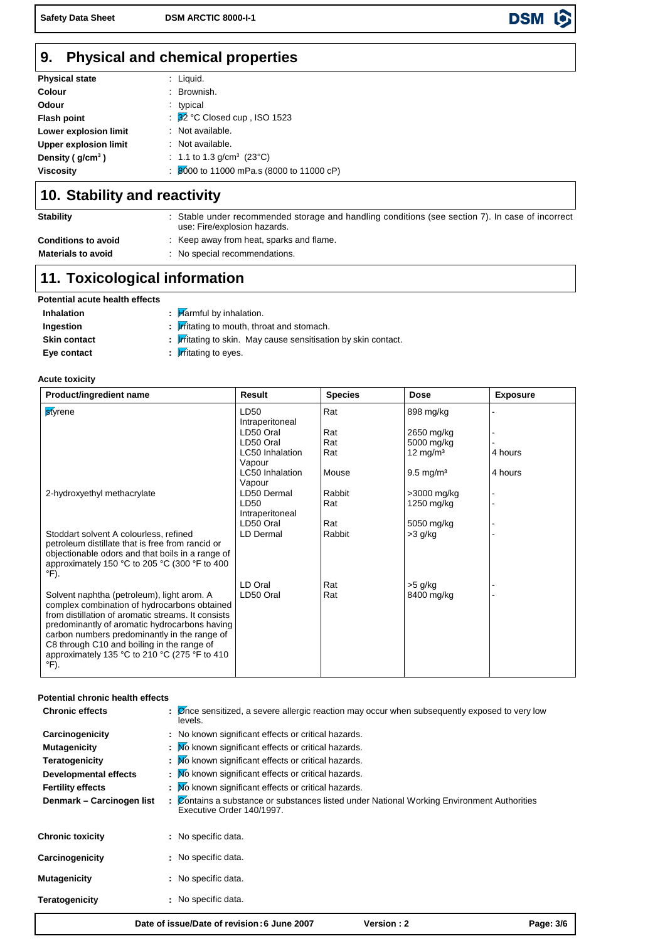**Safety Data Sheet DSM ARCTIC 8000-I-1**

#### **Physical and chemical properties 9.**

| <b>Physical state</b>        | $:$ Liquid.                                         |
|------------------------------|-----------------------------------------------------|
| Colour                       | : Brownish.                                         |
| Odour                        | : typical                                           |
| <b>Flash point</b>           | : $\overline{32}$ °C Closed cup, ISO 1523           |
| Lower explosion limit        | : Not available.                                    |
| <b>Upper explosion limit</b> | : Not available.                                    |
| Density ( $g/cm3$ )          | : 1.1 to 1.3 g/cm <sup>3</sup> (23°C)               |
| <b>Viscosity</b>             | $\frac{1}{20000}$ to 11000 mPa.s (8000 to 11000 cP) |

### **10. Stability and reactivity**

| <b>Stability</b>           | Stable under recommended storage and handling conditions (see section 7). In case of incorrect<br>use: Fire/explosion hazards. |
|----------------------------|--------------------------------------------------------------------------------------------------------------------------------|
| <b>Conditions to avoid</b> | : Keep away from heat, sparks and flame.                                                                                       |
| <b>Materials to avoid</b>  | No special recommendations.                                                                                                    |

# **11. Toxicological information**

| Potential acute health effects |  |
|--------------------------------|--|
|--------------------------------|--|

| <b>Inhalation</b>   | $\frac{1}{2}$ Marmful by inhalation.                                   |
|---------------------|------------------------------------------------------------------------|
| Ingestion           | $\frac{1}{2}$ <i>r</i> fitating to mouth, throat and stomach.          |
| <b>Skin contact</b> | : <b>I</b> rfitating to skin. May cause sensitisation by skin contact. |
| Eye contact         | $\cdot$ <i>Irritating to eyes.</i>                                     |

### **Acute toxicity**

| Product/ingredient name                                                                                                                                                                                                                                                                                                                                  | Result                           | <b>Species</b> | <b>Dose</b>             | <b>Exposure</b> |
|----------------------------------------------------------------------------------------------------------------------------------------------------------------------------------------------------------------------------------------------------------------------------------------------------------------------------------------------------------|----------------------------------|----------------|-------------------------|-----------------|
| styrene                                                                                                                                                                                                                                                                                                                                                  | LD50<br>Intraperitoneal          | Rat            | 898 mg/kg               |                 |
|                                                                                                                                                                                                                                                                                                                                                          | LD50 Oral                        | Rat            | 2650 mg/kg              |                 |
|                                                                                                                                                                                                                                                                                                                                                          | LD50 Oral                        | Rat            | 5000 mg/kg              |                 |
|                                                                                                                                                                                                                                                                                                                                                          | LC50 Inhalation<br>Vapour        | Rat            | $12 \text{ mg/m}^3$     | 4 hours         |
|                                                                                                                                                                                                                                                                                                                                                          | <b>LC50</b> Inhalation<br>Vapour | Mouse          | $9.5 \text{ mg/m}^3$    | 4 hours         |
| 2-hydroxyethyl methacrylate                                                                                                                                                                                                                                                                                                                              | LD50 Dermal                      | Rabbit         | $>3000$ mg/kg           |                 |
|                                                                                                                                                                                                                                                                                                                                                          | LD50<br>Intraperitoneal          | Rat            | 1250 mg/kg              |                 |
|                                                                                                                                                                                                                                                                                                                                                          | LD50 Oral                        | Rat            | 5050 mg/kg              |                 |
| Stoddart solvent A colourless, refined<br>petroleum distillate that is free from rancid or<br>objectionable odors and that boils in a range of<br>approximately 150 °C to 205 °C (300 °F to 400<br>°F).                                                                                                                                                  | LD Dermal                        | Rabbit         | $>3$ g/kg               |                 |
| Solvent naphtha (petroleum), light arom. A<br>complex combination of hydrocarbons obtained<br>from distillation of aromatic streams. It consists<br>predominantly of aromatic hydrocarbons having<br>carbon numbers predominantly in the range of<br>C8 through C10 and boiling in the range of<br>approximately 135 °C to 210 °C (275 °F to 410<br>°F). | LD Oral<br>LD50 Oral             | Rat<br>Rat     | $>5$ g/kg<br>8400 mg/kg |                 |

#### **Potential chronic health effects**

|                           | <b>Version: 2</b><br>Date of issue/Date of revision: 6 June 2007<br>Page: 3/6                                                        |  |
|---------------------------|--------------------------------------------------------------------------------------------------------------------------------------|--|
| <b>Teratogenicity</b>     | : No specific data.                                                                                                                  |  |
| <b>Mutagenicity</b>       | No specific data.                                                                                                                    |  |
| Carcinogenicity           | : No specific data.                                                                                                                  |  |
| <b>Chronic toxicity</b>   | : No specific data.                                                                                                                  |  |
| Denmark - Carcinogen list | : Contains a substance or substances listed under National Working Environment Authorities<br>Executive Order 140/1997.              |  |
| <b>Fertility effects</b>  | : Mo known significant effects or critical hazards.                                                                                  |  |
| Developmental effects     | : Mo known significant effects or critical hazards.                                                                                  |  |
| <b>Teratogenicity</b>     | : Mo known significant effects or critical hazards.                                                                                  |  |
| <b>Mutagenicity</b>       | : Mo known significant effects or critical hazards.                                                                                  |  |
| Carcinogenicity           | : No known significant effects or critical hazards.                                                                                  |  |
| <b>Chronic effects</b>    | $\mathcal{O}$ ( $\mathcal{O}$ once sensitized, a severe allergic reaction may occur when subsequently exposed to very low<br>levels. |  |

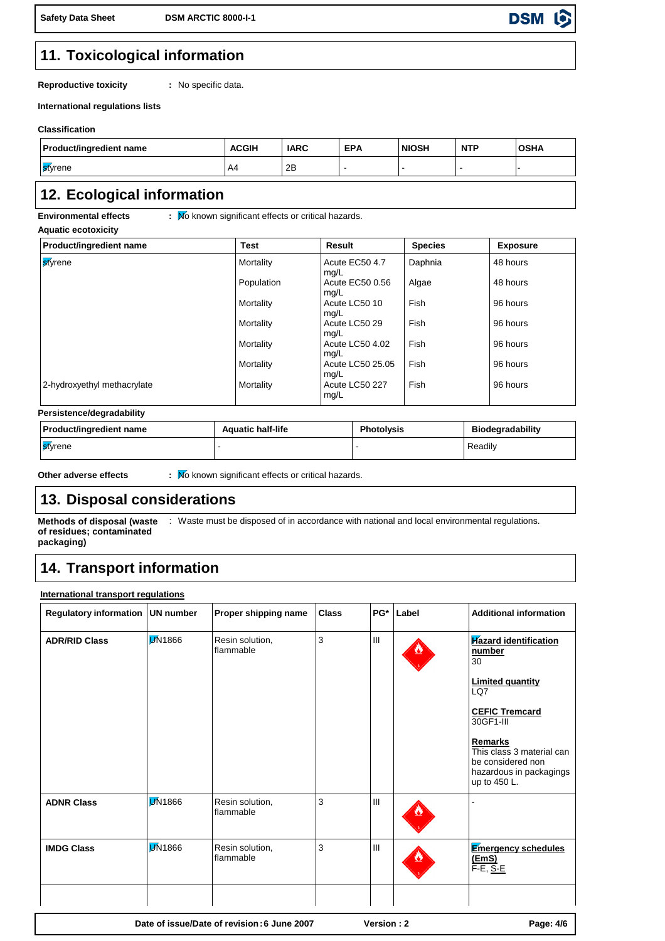**Safety Data Sheet DSM ARCTIC 8000-I-1**

**DSM** lo

## **11. Toxicological information**

**Reproductive toxicity**

**:** No specific data.

**International regulations lists**

### **Classification**

| <b>Product/ingredient name</b> | <b>ACGIH</b> | <b>IARC</b> | <b>EPA</b> | <b>NIOSH</b> | <b>NTP</b> | <b>OSHA</b> |
|--------------------------------|--------------|-------------|------------|--------------|------------|-------------|
| styrene                        | A4           | 2B          |            |              |            |             |

### **12. Ecological information**

**Environmental effects** :  $\overline{M}$  known significant effects or critical hazards.

**Aquatic ecotoxicity**

| Product/ingredient name     | <b>Test</b> | <b>Result</b>            | <b>Species</b> | <b>Exposure</b> |
|-----------------------------|-------------|--------------------------|----------------|-----------------|
| <b>s</b> tyrene             | Mortality   | Acute EC50 4.7<br>mg/L   | Daphnia        | 48 hours        |
|                             | Population  | Acute EC50 0.56<br>mg/L  | Algae          | 48 hours        |
|                             | Mortality   | Acute LC50 10<br>mg/L    | Fish           | 96 hours        |
|                             | Mortality   | Acute LC50 29<br>mg/L    | Fish           | 96 hours        |
|                             | Mortality   | Acute LC50 4.02<br>mg/L  | Fish           | 96 hours        |
|                             | Mortality   | Acute LC50 25.05<br>mg/L | Fish           | 96 hours        |
| 2-hydroxyethyl methacrylate | Mortality   | Acute LC50 227<br>mg/L   | Fish           | 96 hours        |

### **Persistence/degradability**

| <b>Product/ingredient name</b> | <b>Aquatic half-life</b> | <b>Photolysis</b> | <b>Biodegradability</b> |
|--------------------------------|--------------------------|-------------------|-------------------------|
| styrene                        |                          |                   | Readily                 |

**Other adverse effects** :  $\overline{M}$  known significant effects or critical hazards.

## **13. Disposal considerations**

**Methods of disposal (waste** : Waste must be disposed of in accordance with national and local environmental regulations. **of residues; contaminated packaging)**

# **14. Transport information**

### **International transport regulations**

| Regulatory information UN number |                 | Proper shipping name         | <b>Class</b> | PG* | Label | <b>Additional information</b>                                                                                                                                                                                                |
|----------------------------------|-----------------|------------------------------|--------------|-----|-------|------------------------------------------------------------------------------------------------------------------------------------------------------------------------------------------------------------------------------|
| <b>ADR/RID Class</b>             | <b>DI</b> N1866 | Resin solution,<br>flammable | 3            | III |       | <b>Hazard identification</b><br>number<br>30<br><b>Limited quantity</b><br>LQ7<br><b>CEFIC Tremcard</b><br>30GF1-III<br>Remarks<br>This class 3 material can<br>be considered non<br>hazardous in packagings<br>up to 450 L. |
| <b>ADNR Class</b>                | <b>DI</b> N1866 | Resin solution,<br>flammable | 3            | III |       |                                                                                                                                                                                                                              |
| <b>IMDG Class</b>                | <b>DI</b> N1866 | Resin solution,<br>flammable | 3            | III |       | <b>Emergency schedules</b><br>(EmS)<br>$F-E$ , $S-E$                                                                                                                                                                         |
|                                  |                 |                              |              |     |       |                                                                                                                                                                                                                              |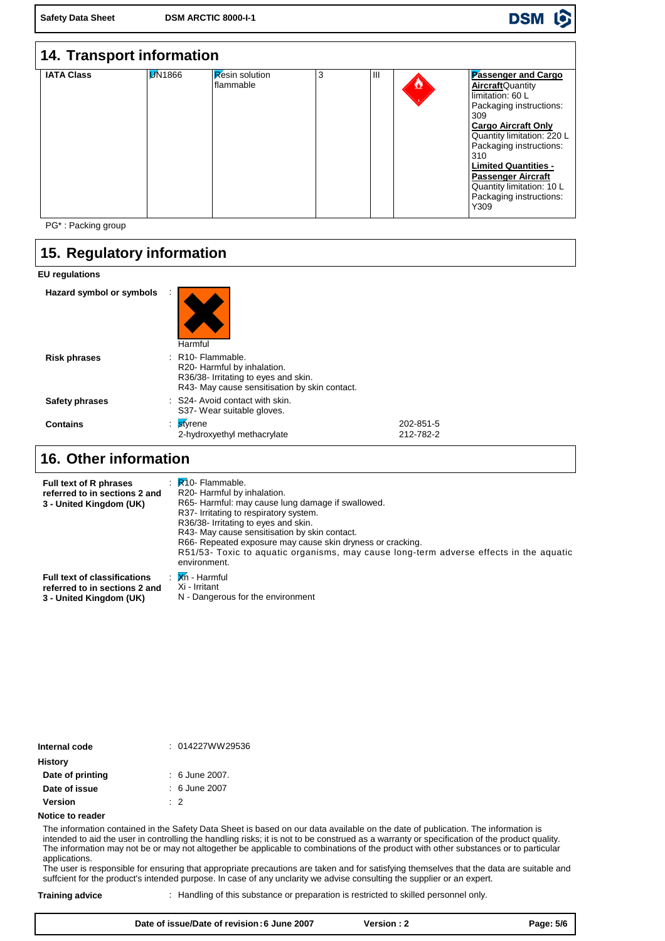#### **DSM** lo

| 14. Transport information |               |                                    |   |                |                                                                                                                                                                                                                                                                                                                                 |
|---------------------------|---------------|------------------------------------|---|----------------|---------------------------------------------------------------------------------------------------------------------------------------------------------------------------------------------------------------------------------------------------------------------------------------------------------------------------------|
| <b>IATA Class</b>         | <b>M</b> 1866 | <b>Resin solution</b><br>flammable | 3 | $\mathbf{III}$ | Passenger and Cargo<br><b>Aircraft</b> Quantity<br>limitation: 60 L<br>Packaging instructions:<br>309<br><b>Cargo Aircraft Only</b><br>Quantity limitation: 220 L<br>Packaging instructions:<br>310<br><b>Limited Quantities -</b><br><b>Passenger Aircraft</b><br>Quantity limitation: 10 L<br>Packaging instructions:<br>Y309 |

PG\* : Packing group

# **15. Regulatory information**

### **EU regulations**

| Hazard symbol or symbols | Harmful                                                                                                                                                 |                        |
|--------------------------|---------------------------------------------------------------------------------------------------------------------------------------------------------|------------------------|
| <b>Risk phrases</b>      | $:$ R <sub>10</sub> -Flammable.<br>R20- Harmful by inhalation.<br>R36/38- Irritating to eyes and skin.<br>R43- May cause sensitisation by skin contact. |                        |
| Safety phrases           | : S24- Avoid contact with skin.<br>S37- Wear suitable gloves.                                                                                           |                        |
| <b>Contains</b>          | styrene<br>÷<br>2-hydroxyethyl methacrylate                                                                                                             | 202-851-5<br>212-782-2 |

### **Other information 16.**

| <b>Full text of R phrases</b><br>referred to in sections 2 and<br>3 - United Kingdom (UK) | $\therefore$ R <sub>10</sub> -Flammable.<br>R20- Harmful by inhalation.<br>R65- Harmful: may cause lung damage if swallowed.<br>R37- Irritating to respiratory system.<br>R36/38- Irritating to eyes and skin.<br>R43- May cause sensitisation by skin contact.<br>R66- Repeated exposure may cause skin dryness or cracking.<br>R51/53- Toxic to aquatic organisms, may cause long-term adverse effects in the aquatic<br>environment. |
|-------------------------------------------------------------------------------------------|-----------------------------------------------------------------------------------------------------------------------------------------------------------------------------------------------------------------------------------------------------------------------------------------------------------------------------------------------------------------------------------------------------------------------------------------|
| <b>Full text of classifications</b>                                                       | : Xn - Harmful                                                                                                                                                                                                                                                                                                                                                                                                                          |
| referred to in sections 2 and                                                             | Xi - Irritant                                                                                                                                                                                                                                                                                                                                                                                                                           |
| 3 - United Kingdom (UK)                                                                   | N - Dangerous for the environment                                                                                                                                                                                                                                                                                                                                                                                                       |

| Internal code    | : 014227WW29536  |
|------------------|------------------|
| <b>History</b>   |                  |
| Date of printing | $: 6$ June 2007. |
| Date of issue    | $: 6$ June 2007  |
| <b>Version</b>   | $\cdot$ 2        |
| Notice to reader |                  |

The information contained in the Safety Data Sheet is based on our data available on the date of publication. The information is intended to aid the user in controlling the handling risks; it is not to be construed as a warranty or specification of the product quality. The information may not be or may not altogether be applicable to combinations of the product with other substances or to particular applications.

The user is responsible for ensuring that appropriate precautions are taken and for satisfying themselves that the data are suitable and suffcient for the product's intended purpose. In case of any unclarity we advise consulting the supplier or an expert.

**Training advice** : Handling of this substance or preparation is restricted to skilled personnel only.